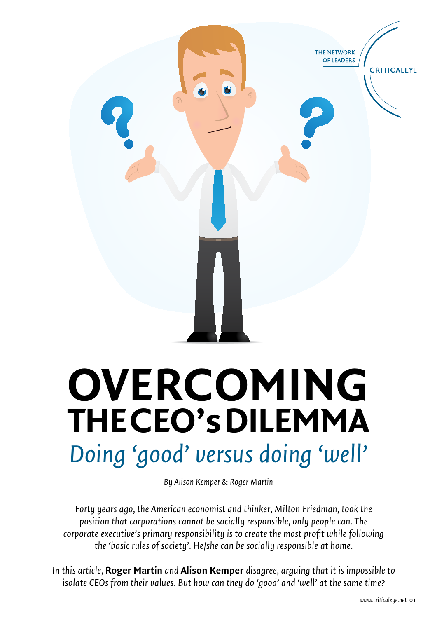

# **OVERCOMING the CEO's Dilemma** *Doing 'good' versus doing 'well'*

*By Alison Kemper & Roger Martin*

*Forty years ago, the American economist and thinker, Milton Friedman, took the position that corporations cannot be socially responsible, only people can. The corporate executive's primary responsibility is to create the most profit while following the 'basic rules of society'. He/she can be socially responsible at home.*

*In this article,* **Roger Martin** *and* **Alison Kemper** *disagree, arguing that it is impossible to isolate CEOs from their values. But how can they do 'good' and 'well' at the same time?*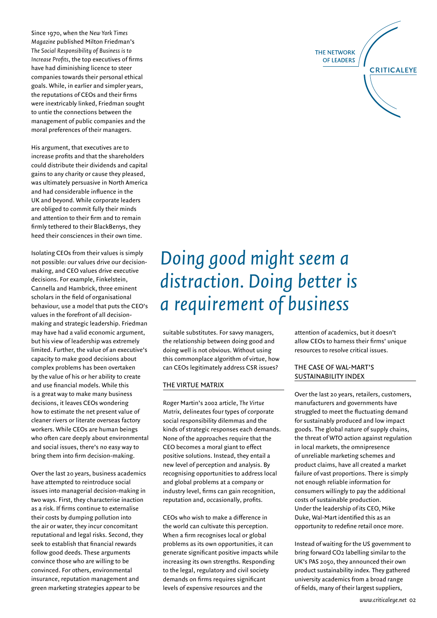Since 1970, when the *New York Times Magazine* published Milton Friedman's *The Social Responsibility of Business is to Increase Profits*, the top executives of firms have had diminishing licence to steer companies towards their personal ethical goals. While, in earlier and simpler years, the reputations of CEOs and their firms were inextricably linked, Friedman sought to untie the connections between the management of public companies and the moral preferences of their managers.

His argument, that executives are to increase profits and that the shareholders could distribute their dividends and capital gains to any charity or cause they pleased, was ultimately persuasive in North America and had considerable influence in the UK and beyond. While corporate leaders are obliged to commit fully their minds and attention to their firm and to remain firmly tethered to their BlackBerrys, they heed their consciences in their own time.

Isolating CEOs from their values is simply not possible: our values drive our decisionmaking, and CEO values drive executive decisions. For example, Finkelstein, Cannella and Hambrick, three eminent scholars in the field of organisational behaviour, use a model that puts the CEO's values in the forefront of all decisionmaking and strategic leadership. Friedman may have had a valid economic argument, but his view of leadership was extremely limited. Further, the value of an executive's capacity to make good decisions about complex problems has been overtaken by the value of his or her ability to create and use financial models. While this is a great way to make many business decisions, it leaves CEOs wondering how to estimate the net present value of cleaner rivers or literate overseas factory workers. While CEOs are human beings who often care deeply about environmental and social issues, there's no easy way to bring them into firm decision-making.

Over the last 20 years, business academics have attempted to reintroduce social issues into managerial decision-making in two ways. First, they characterise inaction as a risk. If firms continue to externalise their costs by dumping pollution into the air or water, they incur concomitant reputational and legal risks. Second, they seek to establish that financial rewards follow good deeds. These arguments convince those who are willing to be convinced. For others, environmental insurance, reputation management and green marketing strategies appear to be

### *Doing good might seem a distraction. Doing better is a requirement of business*

suitable substitutes. For savvy managers, the relationship between doing good and doing well is not obvious. Without using this commonplace algorithm of virtue, how can CEOs legitimately address CSR issues?

#### THE VIRTUE MATRIX

Roger Martin's 2002 article, *The Virtue Matrix*, delineates four types of corporate social responsibility dilemmas and the kinds of strategic responses each demands. None of the approaches require that the CEO becomes a moral giant to effect positive solutions. Instead, they entail a new level of perception and analysis. By recognising opportunities to address local and global problems at a company or industry level, firms can gain recognition, reputation and, occasionally, profits.

CEOs who wish to make a difference in the world can cultivate this perception. When a firm recognises local or global problems as its own opportunities, it can generate significant positive impacts while increasing its own strengths. Responding to the legal, regulatory and civil society demands on firms requires significant levels of expensive resources and the

attention of academics, but it doesn't allow CEOs to harness their firms' unique resources to resolve critical issues.

#### THE CASE OF WAL-MART'S SUSTAINABILITY INDEX

Over the last 20 years, retailers, customers, manufacturers and governments have struggled to meet the fluctuating demand for sustainably produced and low impact goods. The global nature of supply chains, the threat of WTO action against regulation in local markets, the omnipresence of unreliable marketing schemes and product claims, have all created a market failure of vast proportions. There is simply not enough reliable information for consumers willingly to pay the additional costs of sustainable production. Under the leadership of its CEO, Mike Duke, Wal-Mart identified this as an opportunity to redefine retail once more.

Instead of waiting for the US government to bring forward CO2 labelling similar to the UK's PAS 2050, they announced their own product sustainability index. They gathered university academics from a broad range of fields, many of their largest suppliers,

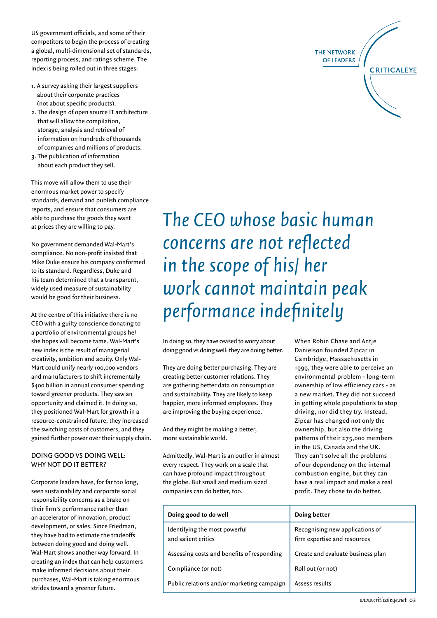US government officials, and some of their competitors to begin the process of creating a global, multi-dimensional set of standards, reporting process, and ratings scheme. The index is being rolled out in three stages:

- 1. A survey asking their largest suppliers about their corporate practices (not about specific products).
- 2. The design of open source IT architecture that will allow the compilation, storage, analysis and retrieval of information on hundreds of thousands of companies and millions of products.
- 3. The publication of information about each product they sell.

This move will allow them to use their enormous market power to specify standards, demand and publish compliance reports, and ensure that consumers are able to purchase the goods they want at prices they are willing to pay.

No government demanded Wal-Mart's compliance. No non-profit insisted that Mike Duke ensure his company conformed to its standard. Regardless, Duke and his team determined that a transparent, widely used measure of sustainability would be good for their business.

At the centre of this initiative there is no CEO with a guilty conscience donating to a portfolio of environmental groups he/ she hopes will become tame. Wal-Mart's new index is the result of managerial creativity, ambition and acuity. Only Wal-Mart could unify nearly 100,000 vendors and manufacturers to shift incrementally \$400 billion in annual consumer spending toward greener products. They saw an opportunity and claimed it. In doing so, they positioned Wal-Mart for growth in a resource-constrained future, they increased the switching costs of customers, and they gained further power over their supply chain.

#### DOING GOOD VS DOING WELL: WHY NOT DO IT BETTER?

Corporate leaders have, for far too long, seen sustainability and corporate social responsibility concerns as a brake on their firm's performance rather than an accelerator of innovation, product development, or sales. Since Friedman, they have had to estimate the tradeoffs between doing good and doing well. Wal-Mart shows another way forward. In creating an index that can help customers make informed decisions about their purchases, Wal-Mart is taking enormous strides toward a greener future.

## *The CEO whose basic human concerns are not reflected in the scope of his/ her work cannot maintain peak performance indefinitely*

In doing so, they have ceased to worry about doing good vs doing well: they are doing better.

They are doing better purchasing. They are creating better customer relations. They are gathering better data on consumption and sustainability. They are likely to keep happier, more informed employees. They are improving the buying experience.

And they might be making a better, more sustainable world.

Admittedly, Wal-Mart is an outlier in almost every respect. They work on a scale that can have profound impact throughout the globe. But small and medium sized companies can do better, too.

When Robin Chase and Antje Danielson founded Zipcar in Cambridge, Massachusetts in 1999, they were able to perceive an environmental problem - long-term ownership of low efficiency cars - as a new market. They did not succeed in getting whole populations to stop driving, nor did they try. Instead, Zipcar has changed not only the ownership, but also the driving patterns of their 275,000 members in the US, Canada and the UK. They can't solve all the problems of our dependency on the internal combustion engine, but they can have a real impact and make a real profit. They chose to do better.

| Doing good to do well                                | Doing better                                                    |
|------------------------------------------------------|-----------------------------------------------------------------|
| Identifying the most powerful<br>and salient critics | Recognising new applications of<br>firm expertise and resources |
| Assessing costs and benefits of responding           | Create and evaluate business plan                               |
| Compliance (or not)                                  | Roll out (or not)                                               |
| Public relations and/or marketing campaign           | Assess results                                                  |